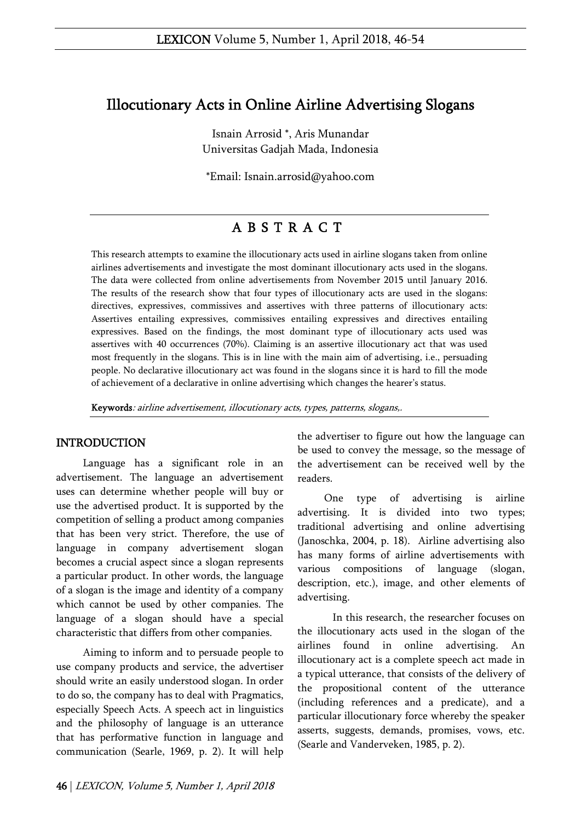# Illocutionary Acts in Online Airline Advertising Slogans

Isnain Arrosid \*, Aris Munandar Universitas Gadjah Mada, Indonesia

\*Email: Isnain.arrosid@yahoo.com

# A B S T R A C T

This research attempts to examine the illocutionary acts used in airline slogans taken from online airlines advertisements and investigate the most dominant illocutionary acts used in the slogans. The data were collected from online advertisements from November 2015 until January 2016. The results of the research show that four types of illocutionary acts are used in the slogans: directives, expressives, commissives and assertives with three patterns of illocutionary acts: Assertives entailing expressives, commissives entailing expressives and directives entailing expressives. Based on the findings, the most dominant type of illocutionary acts used was assertives with 40 occurrences (70%). Claiming is an assertive illocutionary act that was used most frequently in the slogans. This is in line with the main aim of advertising, i.e., persuading people. No declarative illocutionary act was found in the slogans since it is hard to fill the mode of achievement of a declarative in online advertising which changes the hearer's status.

Keywords: airline advertisement, illocutionary acts, types, patterns, slogans,.

# INTRODUCTION

Language has a significant role in an advertisement. The language an advertisement uses can determine whether people will buy or use the advertised product. It is supported by the competition of selling a product among companies that has been very strict. Therefore, the use of language in company advertisement slogan becomes a crucial aspect since a slogan represents a particular product. In other words, the language of a slogan is the image and identity of a company which cannot be used by other companies. The language of a slogan should have a special characteristic that differs from other companies.

Aiming to inform and to persuade people to use company products and service, the advertiser should write an easily understood slogan. In order to do so, the company has to deal with Pragmatics, especially Speech Acts. A speech act in linguistics and the philosophy of language is an utterance that has performative function in language and communication (Searle, 1969, p. 2). It will help

the advertiser to figure out how the language can be used to convey the message, so the message of the advertisement can be received well by the readers.

One type of advertising is airline advertising. It is divided into two types; traditional advertising and online advertising (Janoschka, 2004, p. 18). Airline advertising also has many forms of airline advertisements with various compositions of language (slogan, description, etc.), image, and other elements of advertising.

In this research, the researcher focuses on the illocutionary acts used in the slogan of the airlines found in online advertising. An illocutionary act is a complete speech act made in a typical utterance, that consists of the delivery of the propositional content of the utterance (including references and a predicate), and a particular illocutionary force whereby the speaker asserts, suggests, demands, promises, vows, etc. (Searle and Vanderveken, 1985, p. 2).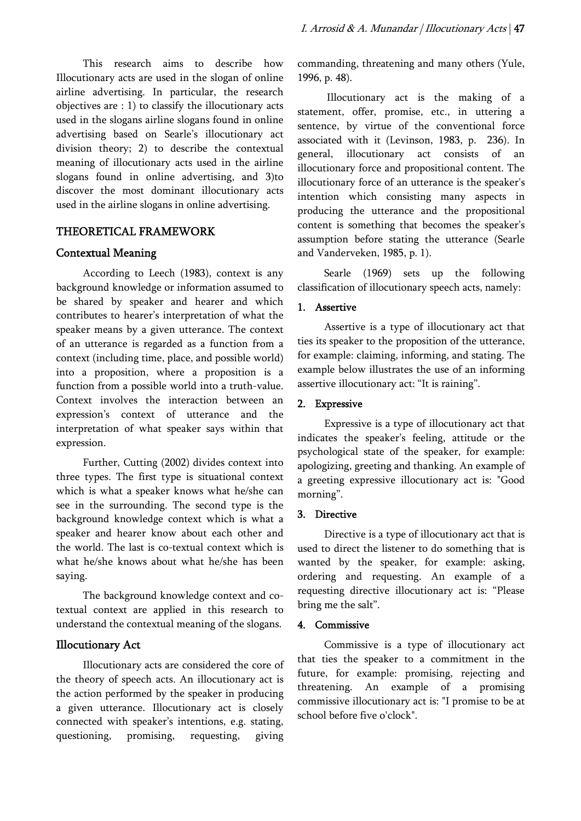This research aims to describe how Illocutionary acts are used in the slogan of online airline advertising. In particular, the research objectives are : 1) to classify the illocutionary acts used in the slogans airline slogans found in online advertising based on Searle's illocutionary act division theory; 2) to describe the contextual meaning of illocutionary acts used in the airline slogans found in online advertising, and 3)to discover the most dominant illocutionary acts used in the airline slogans in online advertising.

## THEORETICAL FRAMEWORK

## Contextual Meaning

According to Leech (1983), context is any background knowledge or information assumed to be shared by speaker and hearer and which contributes to hearer's interpretation of what the speaker means by a given utterance. The context of an utterance is regarded as a function from a context (including time, place, and possible world) into a proposition, where a proposition is a function from a possible world into a truth-value. Context involves the interaction between an expression's context of utterance and the interpretation of what speaker says within that expression.

Further, Cutting (2002) divides context into three types. The first type is situational context which is what a speaker knows what he/she can see in the surrounding. The second type is the background knowledge context which is what a speaker and hearer know about each other and the world. The last is co-textual context which is what he/she knows about what he/she has been saying.

The background knowledge context and cotextual context are applied in this research to understand the contextual meaning of the slogans.

# Illocutionary Act

Illocutionary acts are considered the core of the theory of speech acts. An illocutionary act is the action performed by the speaker in producing a given utterance. Illocutionary act is closely connected with speaker's intentions, e.g. stating, questioning, promising, requesting, giving

commanding, threatening and many others (Yule, 1996, p. 48).

 Illocutionary act is the making of a statement, offer, promise, etc., in uttering a sentence, by virtue of the conventional force associated with it (Levinson, 1983, p. 236). In general, illocutionary act consists of an illocutionary force and propositional content. The illocutionary force of an utterance is the speaker's intention which consisting many aspects in producing the utterance and the propositional content is something that becomes the speaker's assumption before stating the utterance (Searle and Vanderveken, 1985, p. 1).

Searle (1969) sets up the following classification of illocutionary speech acts, namely:

## 1. Assertive

Assertive is a type of illocutionary act that ties its speaker to the proposition of the utterance, for example: claiming, informing, and stating. The example below illustrates the use of an informing assertive illocutionary act: "It is raining".

### 2. Expressive

Expressive is a type of illocutionary act that indicates the speaker's feeling, attitude or the psychological state of the speaker, for example: apologizing, greeting and thanking. An example of a greeting expressive illocutionary act is: "Good morning".

#### 3. Directive

Directive is a type of illocutionary act that is used to direct the listener to do something that is wanted by the speaker, for example: asking, ordering and requesting. An example of a requesting directive illocutionary act is: "Please bring me the salt".

### 4. Commissive

Commissive is a type of illocutionary act that ties the speaker to a commitment in the future, for example: promising, rejecting and threatening. An example of a promising commissive illocutionary act is: "I promise to be at school before five o'clock".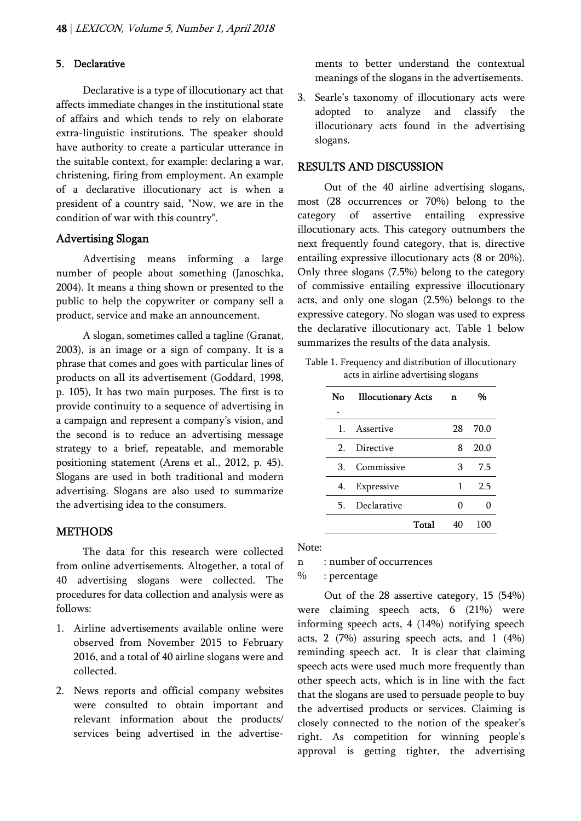#### 5. Declarative

Declarative is a type of illocutionary act that affects immediate changes in the institutional state of affairs and which tends to rely on elaborate extra-linguistic institutions. The speaker should have authority to create a particular utterance in the suitable context, for example: declaring a war, christening, firing from employment. An example of a declarative illocutionary act is when a president of a country said, "Now, we are in the condition of war with this country".

### Advertising Slogan

Advertising means informing a large number of people about something (Janoschka, 2004). It means a thing shown or presented to the public to help the copywriter or company sell a product, service and make an announcement.

A slogan, sometimes called a tagline (Granat, 2003), is an image or a sign of company. It is a phrase that comes and goes with particular lines of products on all its advertisement (Goddard, 1998, p. 105). It has two main purposes. The first is to provide continuity to a sequence of advertising in a campaign and represent a company's vision, and the second is to reduce an advertising message strategy to a brief, repeatable, and memorable positioning statement (Arens et al., 2012, p. 45). Slogans are used in both traditional and modern advertising. Slogans are also used to summarize the advertising idea to the consumers.

### **METHODS**

The data for this research were collected from online advertisements. Altogether, a total of 40 advertising slogans were collected. The procedures for data collection and analysis were as follows:

- 1. Airline advertisements available online were observed from November 2015 to February 2016, and a total of 40 airline slogans were and collected.
- 2. News reports and official company websites were consulted to obtain important and relevant information about the products/ services being advertised in the advertise-

ments to better understand the contextual meanings of the slogans in the advertisements.

3. Searle's taxonomy of illocutionary acts were adopted to analyze and classify the illocutionary acts found in the advertising slogans.

#### RESULTS AND DISCUSSION

Out of the 40 airline advertising slogans, most (28 occurrences or 70%) belong to the category of assertive entailing expressive illocutionary acts. This category outnumbers the next frequently found category, that is, directive entailing expressive illocutionary acts (8 or 20%). Only three slogans (7.5%) belong to the category of commissive entailing expressive illocutionary acts, and only one slogan (2.5%) belongs to the expressive category. No slogan was used to express the declarative illocutionary act. Table 1 below summarizes the results of the data analysis.

Table 1. Frequency and distribution of illocutionary acts in airline advertising slogans

| No      | <b>Illocutionary Acts</b> |       | n  | %    |
|---------|---------------------------|-------|----|------|
|         |                           |       |    |      |
| $1_{-}$ | Assertive                 |       | 28 | 70.0 |
| 2       | Directive                 |       | 8  | 20.0 |
| З.      | Commissive                |       | 3  | 7.5  |
| 4.      | Expressive                |       | 1  | 2.5  |
| 5.      | Declarative               |       | 0  |      |
|         |                           | Total | 40 | 100  |

#### Note:

n : number of occurrences

% : percentage

Out of the 28 assertive category, 15 (54%) were claiming speech acts, 6 (21%) were informing speech acts, 4 (14%) notifying speech acts, 2 (7%) assuring speech acts, and 1 (4%) reminding speech act. It is clear that claiming speech acts were used much more frequently than other speech acts, which is in line with the fact that the slogans are used to persuade people to buy the advertised products or services. Claiming is closely connected to the notion of the speaker's right. As competition for winning people's approval is getting tighter, the advertising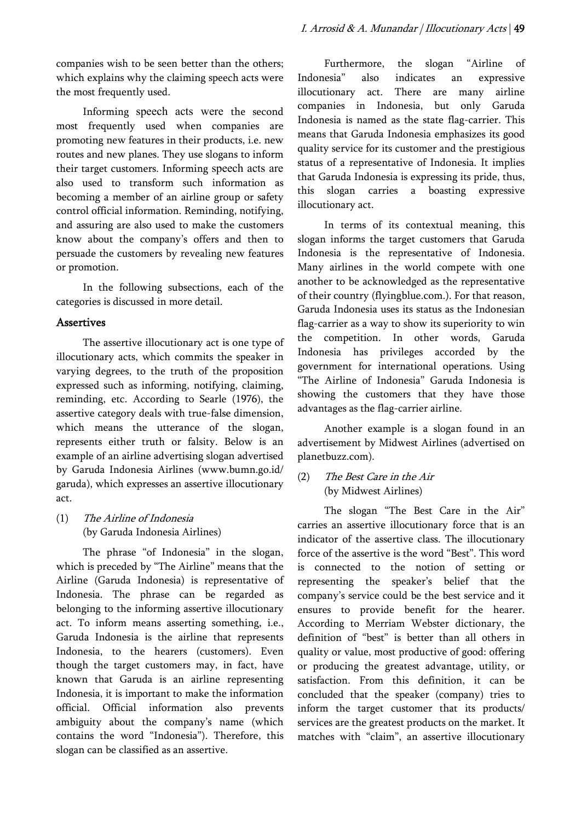companies wish to be seen better than the others; which explains why the claiming speech acts were the most frequently used.

Informing speech acts were the second most frequently used when companies are promoting new features in their products, i.e. new routes and new planes. They use slogans to inform their target customers. Informing speech acts are also used to transform such information as becoming a member of an airline group or safety control official information. Reminding, notifying, and assuring are also used to make the customers know about the company's offers and then to persuade the customers by revealing new features or promotion.

In the following subsections, each of the categories is discussed in more detail.

### Assertives

The assertive illocutionary act is one type of illocutionary acts, which commits the speaker in varying degrees, to the truth of the proposition expressed such as informing, notifying, claiming, reminding, etc. According to Searle (1976), the assertive category deals with true-false dimension, which means the utterance of the slogan, represents either truth or falsity. Below is an example of an airline advertising slogan advertised by Garuda Indonesia Airlines (www.bumn.go.id/ garuda), which expresses an assertive illocutionary act.

(1) The Airline of Indonesia (by Garuda Indonesia Airlines)

The phrase "of Indonesia" in the slogan, which is preceded by "The Airline" means that the Airline (Garuda Indonesia) is representative of Indonesia. The phrase can be regarded as belonging to the informing assertive illocutionary act. To inform means asserting something, i.e., Garuda Indonesia is the airline that represents Indonesia, to the hearers (customers). Even though the target customers may, in fact, have known that Garuda is an airline representing Indonesia, it is important to make the information official. Official information also prevents ambiguity about the company's name (which contains the word "Indonesia"). Therefore, this slogan can be classified as an assertive.

Furthermore, the slogan "Airline of Indonesia" also indicates an expressive illocutionary act. There are many airline companies in Indonesia, but only Garuda Indonesia is named as the state flag-carrier. This means that Garuda Indonesia emphasizes its good quality service for its customer and the prestigious status of a representative of Indonesia. It implies that Garuda Indonesia is expressing its pride, thus, this slogan carries a boasting expressive illocutionary act.

In terms of its contextual meaning, this slogan informs the target customers that Garuda Indonesia is the representative of Indonesia. Many airlines in the world compete with one another to be acknowledged as the representative of their country (flyingblue.com.). For that reason, Garuda Indonesia uses its status as the Indonesian flag-carrier as a way to show its superiority to win the competition. In other words, Garuda Indonesia has privileges accorded by the government for international operations. Using "The Airline of Indonesia" Garuda Indonesia is showing the customers that they have those advantages as the flag-carrier airline.

Another example is a slogan found in an advertisement by Midwest Airlines (advertised on planetbuzz.com).

(2) The Best Care in the Air (by Midwest Airlines)

The slogan "The Best Care in the Air" carries an assertive illocutionary force that is an indicator of the assertive class. The illocutionary force of the assertive is the word "Best". This word is connected to the notion of setting or representing the speaker's belief that the company's service could be the best service and it ensures to provide benefit for the hearer. According to Merriam Webster dictionary, the definition of "best" is better than all others in quality or value, most productive of good: offering or producing the greatest advantage, utility, or satisfaction. From this definition, it can be concluded that the speaker (company) tries to inform the target customer that its products/ services are the greatest products on the market. It matches with "claim", an assertive illocutionary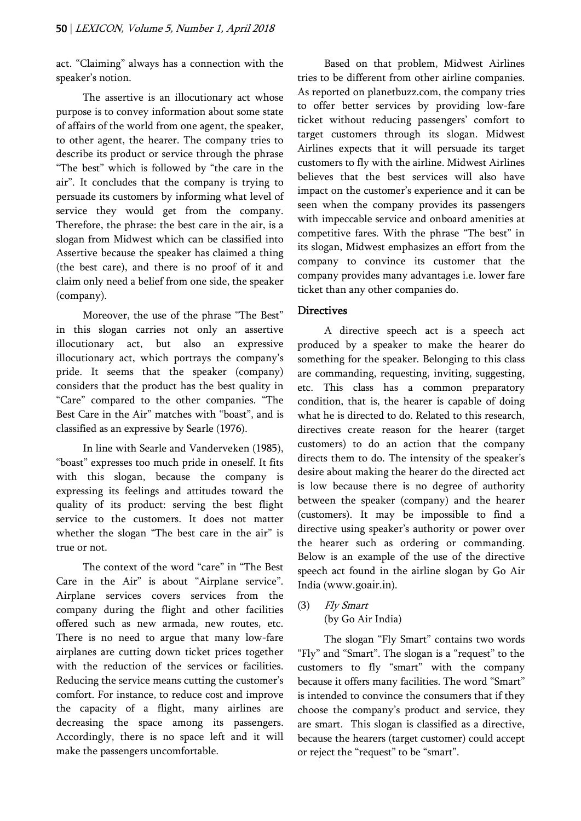act. "Claiming" always has a connection with the speaker's notion.

The assertive is an illocutionary act whose purpose is to convey information about some state of affairs of the world from one agent, the speaker, to other agent, the hearer. The company tries to describe its product or service through the phrase "The best" which is followed by "the care in the air". It concludes that the company is trying to persuade its customers by informing what level of service they would get from the company. Therefore, the phrase: the best care in the air, is a slogan from Midwest which can be classified into Assertive because the speaker has claimed a thing (the best care), and there is no proof of it and claim only need a belief from one side, the speaker (company).

Moreover, the use of the phrase "The Best" in this slogan carries not only an assertive illocutionary act, but also an expressive illocutionary act, which portrays the company's pride. It seems that the speaker (company) considers that the product has the best quality in "Care" compared to the other companies. "The Best Care in the Air" matches with "boast", and is classified as an expressive by Searle (1976).

In line with Searle and Vanderveken (1985), "boast" expresses too much pride in oneself. It fits with this slogan, because the company is expressing its feelings and attitudes toward the quality of its product: serving the best flight service to the customers. It does not matter whether the slogan "The best care in the air" is true or not.

The context of the word "care" in "The Best Care in the Air" is about "Airplane service". Airplane services covers services from the company during the flight and other facilities offered such as new armada, new routes, etc. There is no need to argue that many low-fare airplanes are cutting down ticket prices together with the reduction of the services or facilities. Reducing the service means cutting the customer's comfort. For instance, to reduce cost and improve the capacity of a flight, many airlines are decreasing the space among its passengers. Accordingly, there is no space left and it will make the passengers uncomfortable.

Based on that problem, Midwest Airlines tries to be different from other airline companies. As reported on planetbuzz.com, the company tries to offer better services by providing low-fare ticket without reducing passengers' comfort to target customers through its slogan. Midwest Airlines expects that it will persuade its target customers to fly with the airline. Midwest Airlines believes that the best services will also have impact on the customer's experience and it can be seen when the company provides its passengers with impeccable service and onboard amenities at competitive fares. With the phrase "The best" in its slogan, Midwest emphasizes an effort from the company to convince its customer that the company provides many advantages i.e. lower fare ticket than any other companies do.

## **Directives**

A directive speech act is a speech act produced by a speaker to make the hearer do something for the speaker. Belonging to this class are commanding, requesting, inviting, suggesting, etc. This class has a common preparatory condition, that is, the hearer is capable of doing what he is directed to do. Related to this research, directives create reason for the hearer (target customers) to do an action that the company directs them to do. The intensity of the speaker's desire about making the hearer do the directed act is low because there is no degree of authority between the speaker (company) and the hearer (customers). It may be impossible to find a directive using speaker's authority or power over the hearer such as ordering or commanding. Below is an example of the use of the directive speech act found in the airline slogan by Go Air India (www.goair.in).

- (3) Fly Smart
	- (by Go Air India)

The slogan "Fly Smart" contains two words "Fly" and "Smart". The slogan is a "request" to the customers to fly "smart" with the company because it offers many facilities. The word "Smart" is intended to convince the consumers that if they choose the company's product and service, they are smart. This slogan is classified as a directive, because the hearers (target customer) could accept or reject the "request" to be "smart".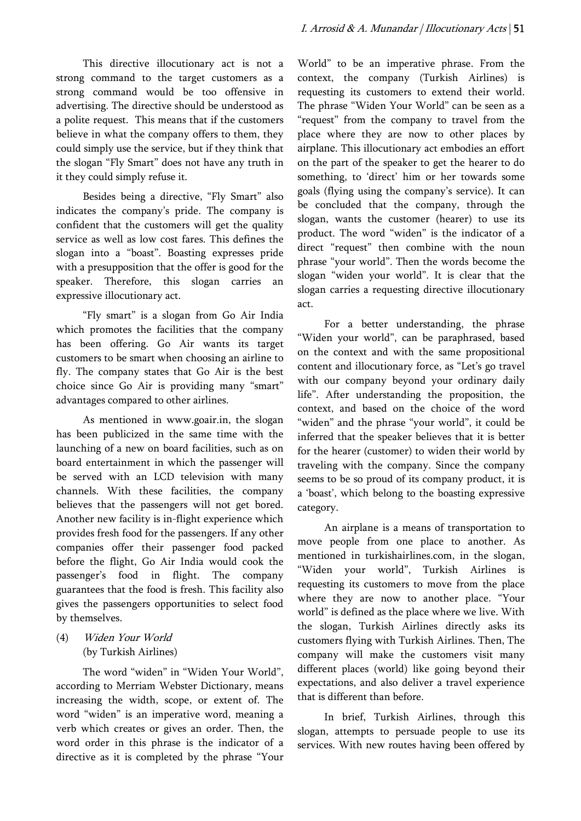This directive illocutionary act is not a strong command to the target customers as a strong command would be too offensive in advertising. The directive should be understood as a polite request. This means that if the customers believe in what the company offers to them, they could simply use the service, but if they think that the slogan "Fly Smart" does not have any truth in it they could simply refuse it.

Besides being a directive, "Fly Smart" also indicates the company's pride. The company is confident that the customers will get the quality service as well as low cost fares. This defines the slogan into a "boast". Boasting expresses pride with a presupposition that the offer is good for the speaker. Therefore, this slogan carries an expressive illocutionary act.

"Fly smart" is a slogan from Go Air India which promotes the facilities that the company has been offering. Go Air wants its target customers to be smart when choosing an airline to fly. The company states that Go Air is the best choice since Go Air is providing many "smart" advantages compared to other airlines.

As mentioned in www.goair.in, the slogan has been publicized in the same time with the launching of a new on board facilities, such as on board entertainment in which the passenger will be served with an LCD television with many channels. With these facilities, the company believes that the passengers will not get bored. Another new facility is in-flight experience which provides fresh food for the passengers. If any other companies offer their passenger food packed before the flight, Go Air India would cook the passenger's food in flight. The company guarantees that the food is fresh. This facility also gives the passengers opportunities to select food by themselves.

(4) Widen Your World (by Turkish Airlines)

The word "widen" in "Widen Your World", according to Merriam Webster Dictionary, means increasing the width, scope, or extent of. The word "widen" is an imperative word, meaning a verb which creates or gives an order. Then, the word order in this phrase is the indicator of a directive as it is completed by the phrase "Your

World" to be an imperative phrase. From the context, the company (Turkish Airlines) is requesting its customers to extend their world. The phrase "Widen Your World" can be seen as a "request" from the company to travel from the place where they are now to other places by airplane. This illocutionary act embodies an effort on the part of the speaker to get the hearer to do something, to 'direct' him or her towards some goals (flying using the company's service). It can be concluded that the company, through the slogan, wants the customer (hearer) to use its product. The word "widen" is the indicator of a direct "request" then combine with the noun phrase "your world". Then the words become the slogan "widen your world". It is clear that the slogan carries a requesting directive illocutionary act.

For a better understanding, the phrase "Widen your world", can be paraphrased, based on the context and with the same propositional content and illocutionary force, as "Let's go travel with our company beyond your ordinary daily life". After understanding the proposition, the context, and based on the choice of the word "widen" and the phrase "your world", it could be inferred that the speaker believes that it is better for the hearer (customer) to widen their world by traveling with the company. Since the company seems to be so proud of its company product, it is a 'boast', which belong to the boasting expressive category.

An airplane is a means of transportation to move people from one place to another. As mentioned in turkishairlines.com, in the slogan, "Widen your world", Turkish Airlines is requesting its customers to move from the place where they are now to another place. "Your world" is defined as the place where we live. With the slogan, Turkish Airlines directly asks its customers flying with Turkish Airlines. Then, The company will make the customers visit many different places (world) like going beyond their expectations, and also deliver a travel experience that is different than before.

In brief, Turkish Airlines, through this slogan, attempts to persuade people to use its services. With new routes having been offered by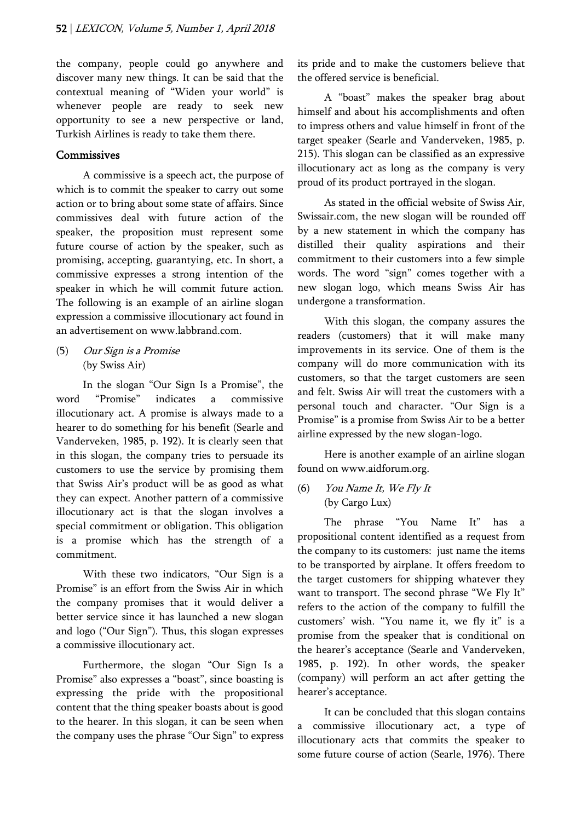the company, people could go anywhere and discover many new things. It can be said that the contextual meaning of "Widen your world" is whenever people are ready to seek new opportunity to see a new perspective or land, Turkish Airlines is ready to take them there.

### **Commissives**

A commissive is a speech act, the purpose of which is to commit the speaker to carry out some action or to bring about some state of affairs. Since commissives deal with future action of the speaker, the proposition must represent some future course of action by the speaker, such as promising, accepting, guarantying, etc. In short, a commissive expresses a strong intention of the speaker in which he will commit future action. The following is an example of an airline slogan expression a commissive illocutionary act found in an advertisement on www.labbrand.com.

(5) Our Sign is a Promise (by Swiss Air)

In the slogan "Our Sign Is a Promise", the word "Promise" indicates a commissive illocutionary act. A promise is always made to a hearer to do something for his benefit (Searle and Vanderveken, 1985, p. 192). It is clearly seen that in this slogan, the company tries to persuade its customers to use the service by promising them that Swiss Air's product will be as good as what they can expect. Another pattern of a commissive illocutionary act is that the slogan involves a special commitment or obligation. This obligation is a promise which has the strength of a commitment.

With these two indicators, "Our Sign is a Promise" is an effort from the Swiss Air in which the company promises that it would deliver a better service since it has launched a new slogan and logo ("Our Sign"). Thus, this slogan expresses a commissive illocutionary act.

Furthermore, the slogan "Our Sign Is a Promise" also expresses a "boast", since boasting is expressing the pride with the propositional content that the thing speaker boasts about is good to the hearer. In this slogan, it can be seen when the company uses the phrase "Our Sign" to express

its pride and to make the customers believe that the offered service is beneficial.

A "boast" makes the speaker brag about himself and about his accomplishments and often to impress others and value himself in front of the target speaker (Searle and Vanderveken, 1985, p. 215). This slogan can be classified as an expressive illocutionary act as long as the company is very proud of its product portrayed in the slogan.

As stated in the official website of Swiss Air, Swissair.com, the new slogan will be rounded off by a new statement in which the company has distilled their quality aspirations and their commitment to their customers into a few simple words. The word "sign" comes together with a new slogan logo, which means Swiss Air has undergone a transformation.

With this slogan, the company assures the readers (customers) that it will make many improvements in its service. One of them is the company will do more communication with its customers, so that the target customers are seen and felt. Swiss Air will treat the customers with a personal touch and character. "Our Sign is a Promise" is a promise from Swiss Air to be a better airline expressed by the new slogan-logo.

Here is another example of an airline slogan found on www.aidforum.org.

(6) You Name It, We Fly It (by Cargo Lux)

The phrase "You Name It" has a propositional content identified as a request from the company to its customers: just name the items to be transported by airplane. It offers freedom to the target customers for shipping whatever they want to transport. The second phrase "We Fly It" refers to the action of the company to fulfill the customers' wish. "You name it, we fly it" is a promise from the speaker that is conditional on the hearer's acceptance (Searle and Vanderveken, 1985, p. 192). In other words, the speaker (company) will perform an act after getting the hearer's acceptance.

It can be concluded that this slogan contains a commissive illocutionary act, a type of illocutionary acts that commits the speaker to some future course of action (Searle, 1976). There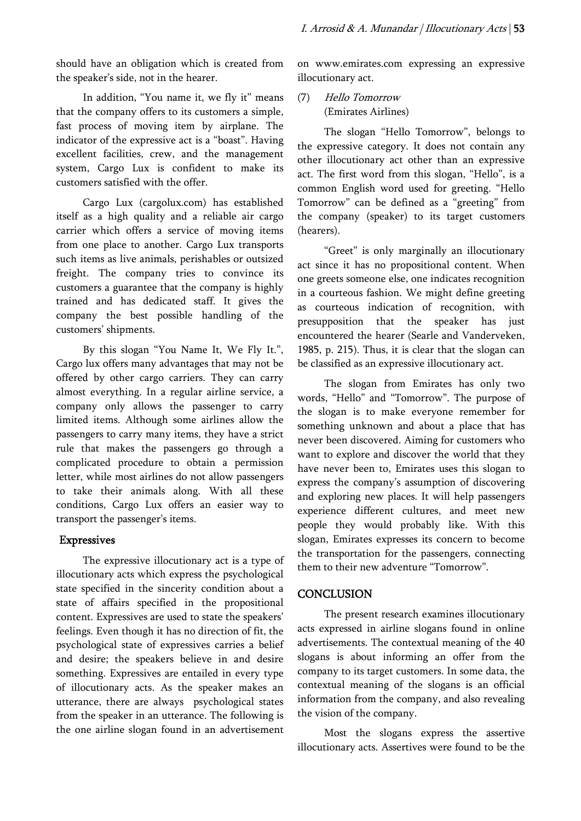should have an obligation which is created from the speaker's side, not in the hearer.

In addition, "You name it, we fly it" means that the company offers to its customers a simple, fast process of moving item by airplane. The indicator of the expressive act is a "boast". Having excellent facilities, crew, and the management system, Cargo Lux is confident to make its customers satisfied with the offer.

Cargo Lux (cargolux.com) has established itself as a high quality and a reliable air cargo carrier which offers a service of moving items from one place to another. Cargo Lux transports such items as live animals, perishables or outsized freight. The company tries to convince its customers a guarantee that the company is highly trained and has dedicated staff. It gives the company the best possible handling of the customers' shipments.

By this slogan "You Name It, We Fly It.", Cargo lux offers many advantages that may not be offered by other cargo carriers. They can carry almost everything. In a regular airline service, a company only allows the passenger to carry limited items. Although some airlines allow the passengers to carry many items, they have a strict rule that makes the passengers go through a complicated procedure to obtain a permission letter, while most airlines do not allow passengers to take their animals along. With all these conditions, Cargo Lux offers an easier way to transport the passenger's items.

### Expressives

The expressive illocutionary act is a type of illocutionary acts which express the psychological state specified in the sincerity condition about a state of affairs specified in the propositional content. Expressives are used to state the speakers' feelings. Even though it has no direction of fit, the psychological state of expressives carries a belief and desire; the speakers believe in and desire something. Expressives are entailed in every type of illocutionary acts. As the speaker makes an utterance, there are always psychological states from the speaker in an utterance. The following is the one airline slogan found in an advertisement

on www.emirates.com expressing an expressive illocutionary act.

(7) Hello Tomorrow (Emirates Airlines)

The slogan "Hello Tomorrow", belongs to the expressive category. It does not contain any other illocutionary act other than an expressive act. The first word from this slogan, "Hello", is a common English word used for greeting. "Hello Tomorrow" can be defined as a "greeting" from the company (speaker) to its target customers (hearers).

"Greet" is only marginally an illocutionary act since it has no propositional content. When one greets someone else, one indicates recognition in a courteous fashion. We might define greeting as courteous indication of recognition, with presupposition that the speaker has just encountered the hearer (Searle and Vanderveken, 1985, p. 215). Thus, it is clear that the slogan can be classified as an expressive illocutionary act.

The slogan from Emirates has only two words, "Hello" and "Tomorrow". The purpose of the slogan is to make everyone remember for something unknown and about a place that has never been discovered. Aiming for customers who want to explore and discover the world that they have never been to, Emirates uses this slogan to express the company's assumption of discovering and exploring new places. It will help passengers experience different cultures, and meet new people they would probably like. With this slogan, Emirates expresses its concern to become the transportation for the passengers, connecting them to their new adventure "Tomorrow".

### **CONCLUSION**

The present research examines illocutionary acts expressed in airline slogans found in online advertisements. The contextual meaning of the 40 slogans is about informing an offer from the company to its target customers. In some data, the contextual meaning of the slogans is an official information from the company, and also revealing the vision of the company.

Most the slogans express the assertive illocutionary acts. Assertives were found to be the